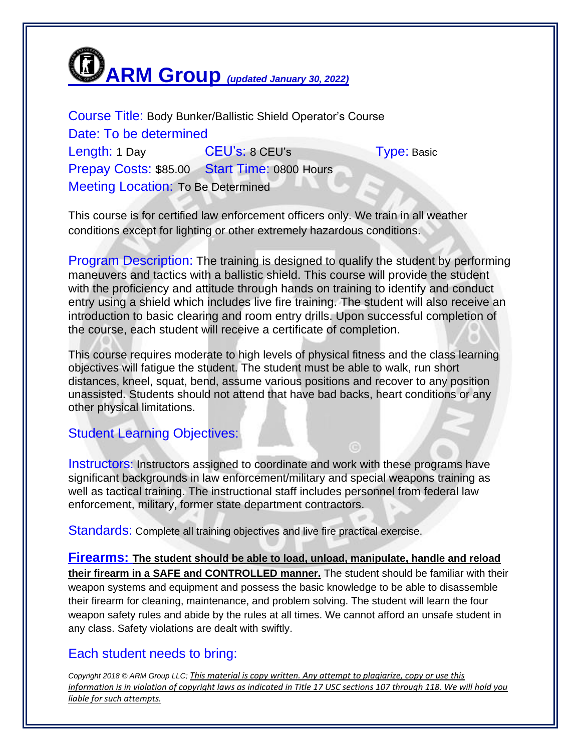

Course Title: Body Bunker/Ballistic Shield Operator's Course Date: To be determined Length: 1 Day **CEU's: 8 CEU's** Type: Basic Prepay Costs: \$85.00 Start Time: 0800 Hours Meeting Location: To Be Determined

This course is for certified law enforcement officers only. We train in all weather conditions except for lighting or other extremely hazardous conditions.

Program Description: The training is designed to qualify the student by performing maneuvers and tactics with a ballistic shield. This course will provide the student with the proficiency and attitude through hands on training to identify and conduct entry using a shield which includes live fire training. The student will also receive an introduction to basic clearing and room entry drills. Upon successful completion of the course, each student will receive a certificate of completion.

This course requires moderate to high levels of physical fitness and the class learning objectives will fatigue the student. The student must be able to walk, run short distances, kneel, squat, bend, assume various positions and recover to any position unassisted. Students should not attend that have bad backs, heart conditions or any other physical limitations.

## Student Learning Objectives:

Instructors: Instructors assigned to coordinate and work with these programs have significant backgrounds in law enforcement/military and special weapons training as well as tactical training. The instructional staff includes personnel from federal law enforcement, military, former state department contractors.

Standards: Complete all training objectives and live fire practical exercise.

**Firearms: The student should be able to load, unload, manipulate, handle and reload their firearm in a SAFE and CONTROLLED manner.** The student should be familiar with their weapon systems and equipment and possess the basic knowledge to be able to disassemble their firearm for cleaning, maintenance, and problem solving. The student will learn the four weapon safety rules and abide by the rules at all times. We cannot afford an unsafe student in any class. Safety violations are dealt with swiftly.

## Each student needs to bring:

*Copyright 2018 © ARM Group LLC; This material is copy written. Any attempt to plagiarize, copy or use this information is in violation of copyright laws as indicated in Title 17 USC sections 107 through 118. We will hold you liable for such attempts.*